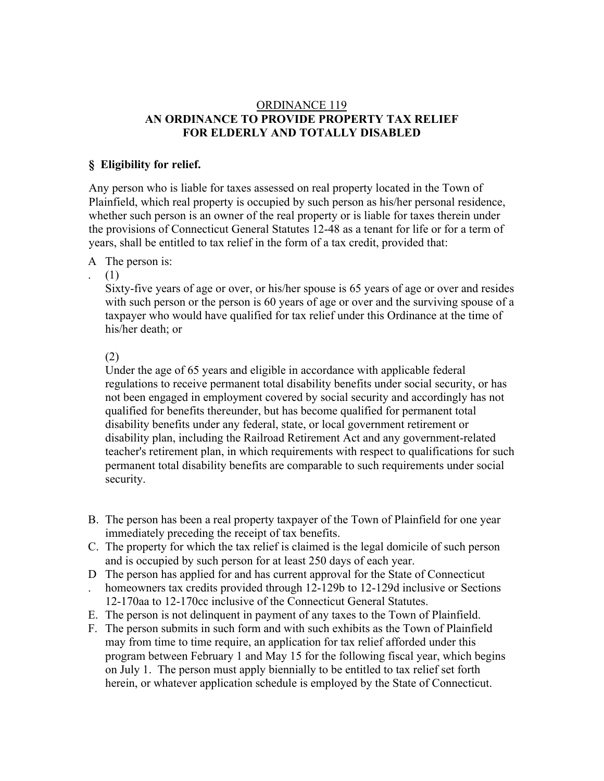### ORDINANCE 119 **AN ORDINANCE TO PROVIDE PROPERTY TAX RELIEF FOR ELDERLY AND TOTALLY DISABLED**

#### **§ Eligibility for relief.**

Any person who is liable for taxes assessed on real property located in the Town of Plainfield, which real property is occupied by such person as his/her personal residence, whether such person is an owner of the real property or is liable for taxes therein under the provisions of Connecticut General Statutes 12-48 as a tenant for life or for a term of years, shall be entitled to tax relief in the form of a tax credit, provided that:

#### A The person is:

(1)

.

Sixty-five years of age or over, or his/her spouse is 65 years of age or over and resides with such person or the person is 60 years of age or over and the surviving spouse of a taxpayer who would have qualified for tax relief under this Ordinance at the time of his/her death; or

(2)

Under the age of 65 years and eligible in accordance with applicable federal regulations to receive permanent total disability benefits under social security, or has not been engaged in employment covered by social security and accordingly has not qualified for benefits thereunder, but has become qualified for permanent total disability benefits under any federal, state, or local government retirement or disability plan, including the Railroad Retirement Act and any government-related teacher's retirement plan, in which requirements with respect to qualifications for such permanent total disability benefits are comparable to such requirements under social security.

- B. The person has been a real property taxpayer of the Town of Plainfield for one year immediately preceding the receipt of tax benefits.
- C. The property for which the tax relief is claimed is the legal domicile of such person and is occupied by such person for at least 250 days of each year.
- D The person has applied for and has current approval for the State of Connecticut
- . homeowners tax credits provided through 12-129b to 12-129d inclusive or Sections 12-170aa to 12-170cc inclusive of the Connecticut General Statutes.
- E. The person is not delinquent in payment of any taxes to the Town of Plainfield.
- F. The person submits in such form and with such exhibits as the Town of Plainfield may from time to time require, an application for tax relief afforded under this program between February 1 and May 15 for the following fiscal year, which begins on July 1. The person must apply biennially to be entitled to tax relief set forth herein, or whatever application schedule is employed by the State of Connecticut.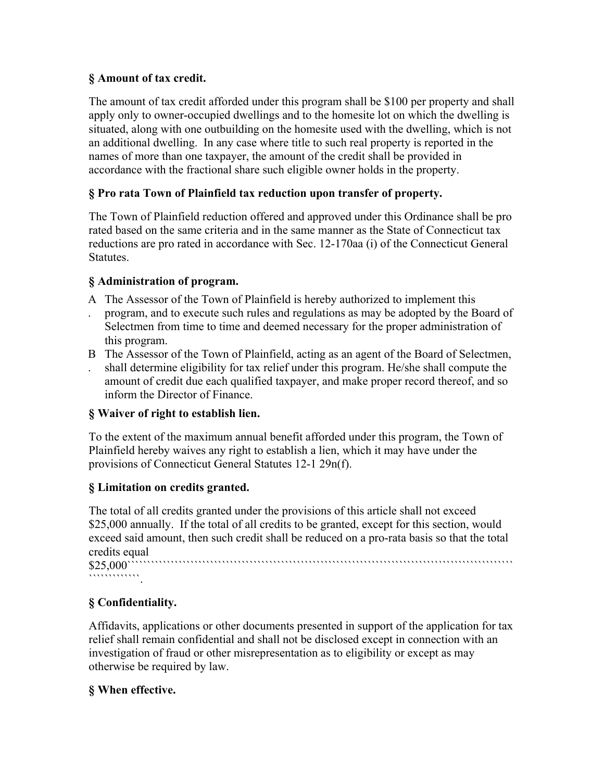## **§ Amount of tax credit.**

The amount of tax credit afforded under this program shall be \$100 per property and shall apply only to owner-occupied dwellings and to the homesite lot on which the dwelling is situated, along with one outbuilding on the homesite used with the dwelling, which is not an additional dwelling. In any case where title to such real property is reported in the names of more than one taxpayer, the amount of the credit shall be provided in accordance with the fractional share such eligible owner holds in the property.

# **§ Pro rata Town of Plainfield tax reduction upon transfer of property.**

The Town of Plainfield reduction offered and approved under this Ordinance shall be pro rated based on the same criteria and in the same manner as the State of Connecticut tax reductions are pro rated in accordance with Sec. 12-170aa (i) of the Connecticut General Statutes.

## **§ Administration of program.**

- A The Assessor of the Town of Plainfield is hereby authorized to implement this
- . program, and to execute such rules and regulations as may be adopted by the Board of Selectmen from time to time and deemed necessary for the proper administration of this program.
- B The Assessor of the Town of Plainfield, acting as an agent of the Board of Selectmen,
- . shall determine eligibility for tax relief under this program. He/she shall compute the amount of credit due each qualified taxpayer, and make proper record thereof, and so inform the Director of Finance.

# **§ Waiver of right to establish lien.**

To the extent of the maximum annual benefit afforded under this program, the Town of Plainfield hereby waives any right to establish a lien, which it may have under the provisions of Connecticut General Statutes 12-1 29n(f).

# **§ Limitation on credits granted.**

The total of all credits granted under the provisions of this article shall not exceed \$25,000 annually. If the total of all credits to be granted, except for this section, would exceed said amount, then such credit shall be reduced on a pro-rata basis so that the total credits equal

\$25,000`````````````````````````````````````````````````````````````````````````````````````````````````` ``````````````````

# **§ Confidentiality.**

Affidavits, applications or other documents presented in support of the application for tax relief shall remain confidential and shall not be disclosed except in connection with an investigation of fraud or other misrepresentation as to eligibility or except as may otherwise be required by law.

# **§ When effective.**